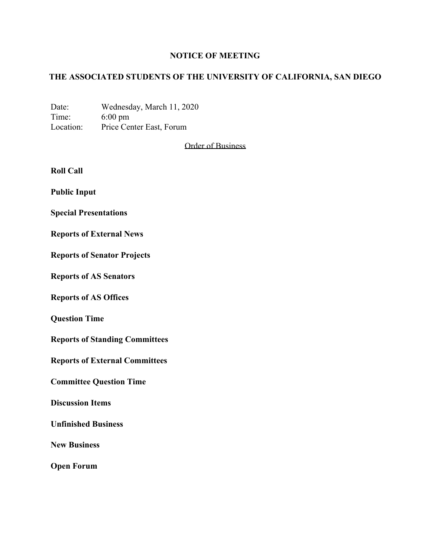## **NOTICE OF MEETING**

# **THE ASSOCIATED STUDENTS OF THE UNIVERSITY OF CALIFORNIA, SAN DIEGO**

Date: Wednesday, March 11, 2020 Time: 6:00 pm Location: Price Center East, Forum

Order of Business

**Roll Call**

**Public Input**

**Special Presentations**

**Reports of External News**

**Reports of Senator Projects**

**Reports of AS Senators**

**Reports of AS Offices**

**Question Time**

**Reports of Standing Committees**

**Reports of External Committees**

**Committee Question Time**

**Discussion Items**

**Unfinished Business**

**New Business**

**Open Forum**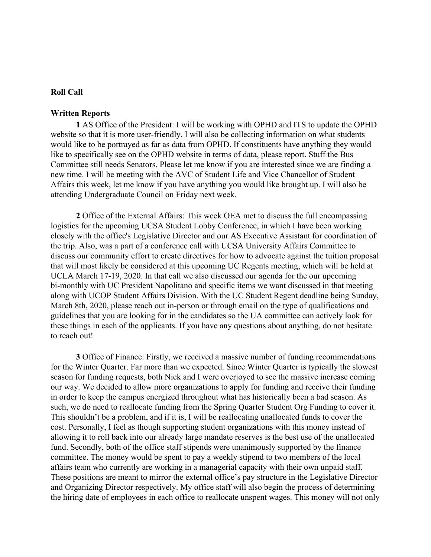## **Roll Call**

#### **Written Reports**

**1** AS Office of the President: I will be working with OPHD and ITS to update the OPHD website so that it is more user-friendly. I will also be collecting information on what students would like to be portrayed as far as data from OPHD. If constituents have anything they would like to specifically see on the OPHD website in terms of data, please report. Stuff the Bus Committee still needs Senators. Please let me know if you are interested since we are finding a new time. I will be meeting with the AVC of Student Life and Vice Chancellor of Student Affairs this week, let me know if you have anything you would like brought up. I will also be attending Undergraduate Council on Friday next week.

**2** Office of the External Affairs: This week OEA met to discuss the full encompassing logistics for the upcoming UCSA Student Lobby Conference, in which I have been working closely with the office's Legislative Director and our AS Executive Assistant for coordination of the trip. Also, was a part of a conference call with UCSA University Affairs Committee to discuss our community effort to create directives for how to advocate against the tuition proposal that will most likely be considered at this upcoming UC Regents meeting, which will be held at UCLA March 17-19, 2020. In that call we also discussed our agenda for the our upcoming bi-monthly with UC President Napolitano and specific items we want discussed in that meeting along with UCOP Student Affairs Division. With the UC Student Regent deadline being Sunday, March 8th, 2020, please reach out in-person or through email on the type of qualifications and guidelines that you are looking for in the candidates so the UA committee can actively look for these things in each of the applicants. If you have any questions about anything, do not hesitate to reach out!

**3** Office of Finance: Firstly, we received a massive number of funding recommendations for the Winter Quarter. Far more than we expected. Since Winter Quarter is typically the slowest season for funding requests, both Nick and I were overjoyed to see the massive increase coming our way. We decided to allow more organizations to apply for funding and receive their funding in order to keep the campus energized throughout what has historically been a bad season. As such, we do need to reallocate funding from the Spring Quarter Student Org Funding to cover it. This shouldn't be a problem, and if it is, I will be reallocating unallocated funds to cover the cost. Personally, I feel as though supporting student organizations with this money instead of allowing it to roll back into our already large mandate reserves is the best use of the unallocated fund. Secondly, both of the office staff stipends were unanimously supported by the finance committee. The money would be spent to pay a weekly stipend to two members of the local affairs team who currently are working in a managerial capacity with their own unpaid staff. These positions are meant to mirror the external office's pay structure in the Legislative Director and Organizing Director respectively. My office staff will also begin the process of determining the hiring date of employees in each office to reallocate unspent wages. This money will not only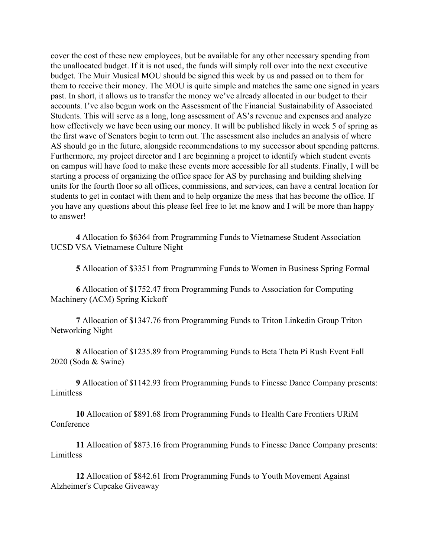cover the cost of these new employees, but be available for any other necessary spending from the unallocated budget. If it is not used, the funds will simply roll over into the next executive budget. The Muir Musical MOU should be signed this week by us and passed on to them for them to receive their money. The MOU is quite simple and matches the same one signed in years past. In short, it allows us to transfer the money we've already allocated in our budget to their accounts. I've also begun work on the Assessment of the Financial Sustainability of Associated Students. This will serve as a long, long assessment of AS's revenue and expenses and analyze how effectively we have been using our money. It will be published likely in week 5 of spring as the first wave of Senators begin to term out. The assessment also includes an analysis of where AS should go in the future, alongside recommendations to my successor about spending patterns. Furthermore, my project director and I are beginning a project to identify which student events on campus will have food to make these events more accessible for all students. Finally, I will be starting a process of organizing the office space for AS by purchasing and building shelving units for the fourth floor so all offices, commissions, and services, can have a central location for students to get in contact with them and to help organize the mess that has become the office. If you have any questions about this please feel free to let me know and I will be more than happy to answer!

**4** Allocation fo \$6364 from Programming Funds to Vietnamese Student Association UCSD VSA Vietnamese Culture Night

**5** Allocation of \$3351 from Programming Funds to Women in Business Spring Formal

**6** Allocation of \$1752.47 from Programming Funds to Association for Computing Machinery (ACM) Spring Kickoff

**7** Allocation of \$1347.76 from Programming Funds to Triton Linkedin Group Triton Networking Night

**8** Allocation of \$1235.89 from Programming Funds to Beta Theta Pi Rush Event Fall 2020 (Soda & Swine)

**9** Allocation of \$1142.93 from Programming Funds to Finesse Dance Company presents: Limitless

**10** Allocation of \$891.68 from Programming Funds to Health Care Frontiers URiM **Conference** 

**11** Allocation of \$873.16 from Programming Funds to Finesse Dance Company presents: Limitless

**12** Allocation of \$842.61 from Programming Funds to Youth Movement Against Alzheimer's Cupcake Giveaway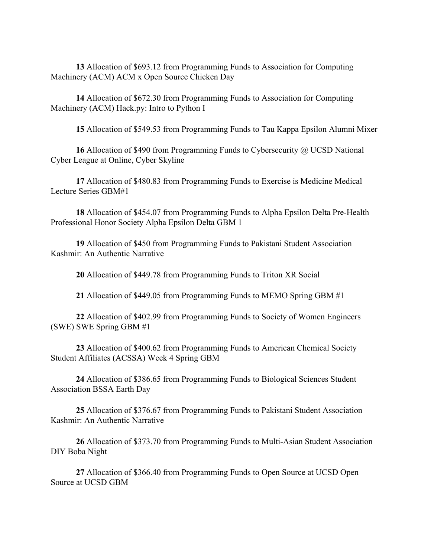**13** Allocation of \$693.12 from Programming Funds to Association for Computing Machinery (ACM) ACM x Open Source Chicken Day

**14** Allocation of \$672.30 from Programming Funds to Association for Computing Machinery (ACM) Hack.py: Intro to Python I

**15** Allocation of \$549.53 from Programming Funds to Tau Kappa Epsilon Alumni Mixer

**16** Allocation of \$490 from Programming Funds to Cybersecurity @ UCSD National Cyber League at Online, Cyber Skyline

**17** Allocation of \$480.83 from Programming Funds to Exercise is Medicine Medical Lecture Series GBM#1

**18** Allocation of \$454.07 from Programming Funds to Alpha Epsilon Delta Pre-Health Professional Honor Society Alpha Epsilon Delta GBM 1

**19** Allocation of \$450 from Programming Funds to Pakistani Student Association Kashmir: An Authentic Narrative

**20** Allocation of \$449.78 from Programming Funds to Triton XR Social

**21** Allocation of \$449.05 from Programming Funds to MEMO Spring GBM #1

**22** Allocation of \$402.99 from Programming Funds to Society of Women Engineers (SWE) SWE Spring GBM #1

**23** Allocation of \$400.62 from Programming Funds to American Chemical Society Student Affiliates (ACSSA) Week 4 Spring GBM

**24** Allocation of \$386.65 from Programming Funds to Biological Sciences Student Association BSSA Earth Day

**25** Allocation of \$376.67 from Programming Funds to Pakistani Student Association Kashmir: An Authentic Narrative

**26** Allocation of \$373.70 from Programming Funds to Multi-Asian Student Association DIY Boba Night

**27** Allocation of \$366.40 from Programming Funds to Open Source at UCSD Open Source at UCSD GBM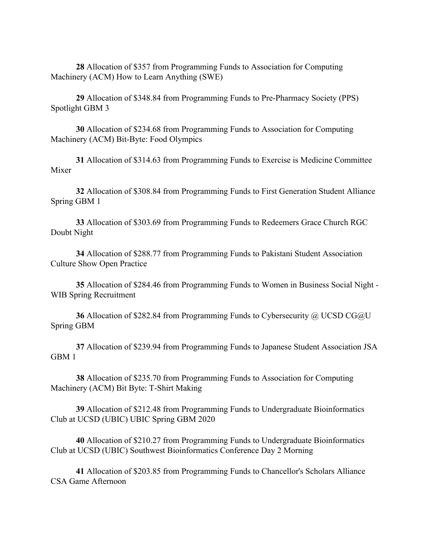**28** Allocation of \$357 from Programming Funds to Association for Computing Machinery (ACM) How to Learn Anything (SWE)

**29** Allocation of \$348.84 from Programming Funds to Pre-Pharmacy Society (PPS) Spotlight GBM 3

**30** Allocation of \$234.68 from Programming Funds to Association for Computing Machinery (ACM) Bit-Byte: Food Olympics

**31** Allocation of \$314.63 from Programming Funds to Exercise is Medicine Committee Mixer

**32** Allocation of \$308.84 from Programming Funds to First Generation Student Alliance Spring GBM 1

**33** Allocation of \$303.69 from Programming Funds to Redeemers Grace Church RGC Doubt Night

**34** Allocation of \$288.77 from Programming Funds to Pakistani Student Association Culture Show Open Practice

**35** Allocation of \$284.46 from Programming Funds to Women in Business Social Night - WIB Spring Recruitment

**36** Allocation of \$282.84 from Programming Funds to Cybersecurity @ UCSD CG@U Spring GBM

**37** Allocation of \$239.94 from Programming Funds to Japanese Student Association JSA GBM 1

**38** Allocation of \$235.70 from Programming Funds to Association for Computing Machinery (ACM) Bit Byte: T-Shirt Making

**39** Allocation of \$212.48 from Programming Funds to Undergraduate Bioinformatics Club at UCSD (UBIC) UBIC Spring GBM 2020

**40** Allocation of \$210.27 from Programming Funds to Undergraduate Bioinformatics Club at UCSD (UBIC) Southwest Bioinformatics Conference Day 2 Morning

**41** Allocation of \$203.85 from Programming Funds to Chancellor's Scholars Alliance CSA Game Afternoon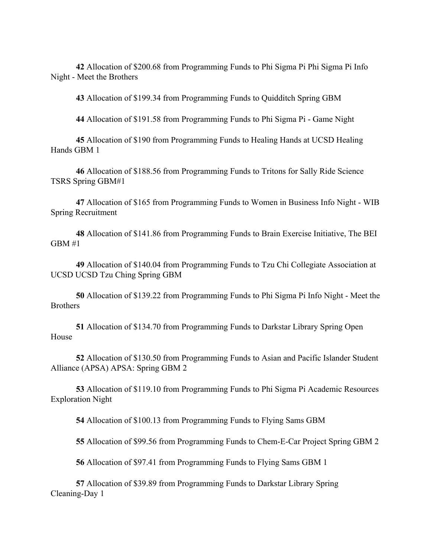**42** Allocation of \$200.68 from Programming Funds to Phi Sigma Pi Phi Sigma Pi Info Night - Meet the Brothers

**43** Allocation of \$199.34 from Programming Funds to Quidditch Spring GBM

**44** Allocation of \$191.58 from Programming Funds to Phi Sigma Pi - Game Night

**45** Allocation of \$190 from Programming Funds to Healing Hands at UCSD Healing Hands GBM 1

**46** Allocation of \$188.56 from Programming Funds to Tritons for Sally Ride Science TSRS Spring GBM#1

**47** Allocation of \$165 from Programming Funds to Women in Business Info Night - WIB Spring Recruitment

**48** Allocation of \$141.86 from Programming Funds to Brain Exercise Initiative, The BEI GBM #1

**49** Allocation of \$140.04 from Programming Funds to Tzu Chi Collegiate Association at UCSD UCSD Tzu Ching Spring GBM

**50** Allocation of \$139.22 from Programming Funds to Phi Sigma Pi Info Night - Meet the Brothers

**51** Allocation of \$134.70 from Programming Funds to Darkstar Library Spring Open House

**52** Allocation of \$130.50 from Programming Funds to Asian and Pacific Islander Student Alliance (APSA) APSA: Spring GBM 2

**53** Allocation of \$119.10 from Programming Funds to Phi Sigma Pi Academic Resources Exploration Night

**54** Allocation of \$100.13 from Programming Funds to Flying Sams GBM

**55** Allocation of \$99.56 from Programming Funds to Chem-E-Car Project Spring GBM 2

**56** Allocation of \$97.41 from Programming Funds to Flying Sams GBM 1

**57** Allocation of \$39.89 from Programming Funds to Darkstar Library Spring Cleaning-Day 1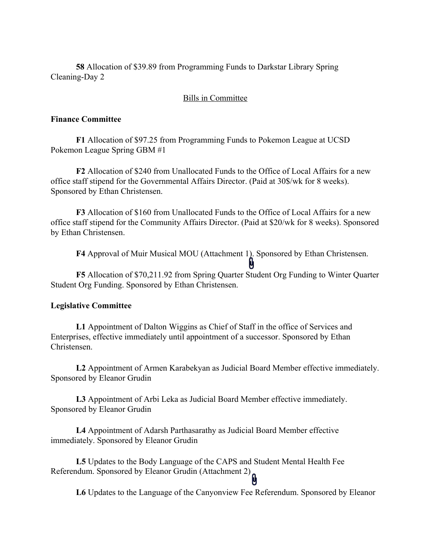**58** Allocation of \$39.89 from Programming Funds to Darkstar Library Spring Cleaning-Day 2

## Bills in Committee

#### **Finance Committee**

**F1** Allocation of \$97.25 from Programming Funds to Pokemon League at UCSD Pokemon League Spring GBM #1

**F2** Allocation of \$240 from Unallocated Funds to the Office of Local Affairs for a new office staff stipend for the Governmental Affairs Director. (Paid at 30\$/wk for 8 weeks). Sponsored by Ethan Christensen.

**F3** Allocation of \$160 from Unallocated Funds to the Office of Local Affairs for a new office staff stipend for the Community Affairs Director. (Paid at \$20/wk for 8 weeks). Sponsored by Ethan Christensen.

**F4** Approval of Muir Musical MOU (Attachment 1). Sponsored by Ethan Christensen.

**F5** Allocation of \$70,211.92 from Spring Quarter Student Org Funding to Winter Quarter Student Org Funding. Sponsored by Ethan Christensen.

## **Legislative Committee**

**L1** Appointment of Dalton Wiggins as Chief of Staff in the office of Services and Enterprises, effective immediately until appointment of a successor. Sponsored by Ethan Christensen.

**L2** Appointment of Armen Karabekyan as Judicial Board Member effective immediately. Sponsored by Eleanor Grudin

**L3** Appointment of Arbi Leka as Judicial Board Member effective immediately. Sponsored by Eleanor Grudin

**L4** Appointment of Adarsh Parthasarathy as Judicial Board Member effective immediately. Sponsored by Eleanor Grudin

**L5** Updates to the Body Language of the CAPS and Student Mental Health Fee Referendum. Sponsored by Eleanor Grudin (Attachment 2)

**L6** Updates to the Language of the Canyonview Fee Referendum. Sponsored by Eleanor